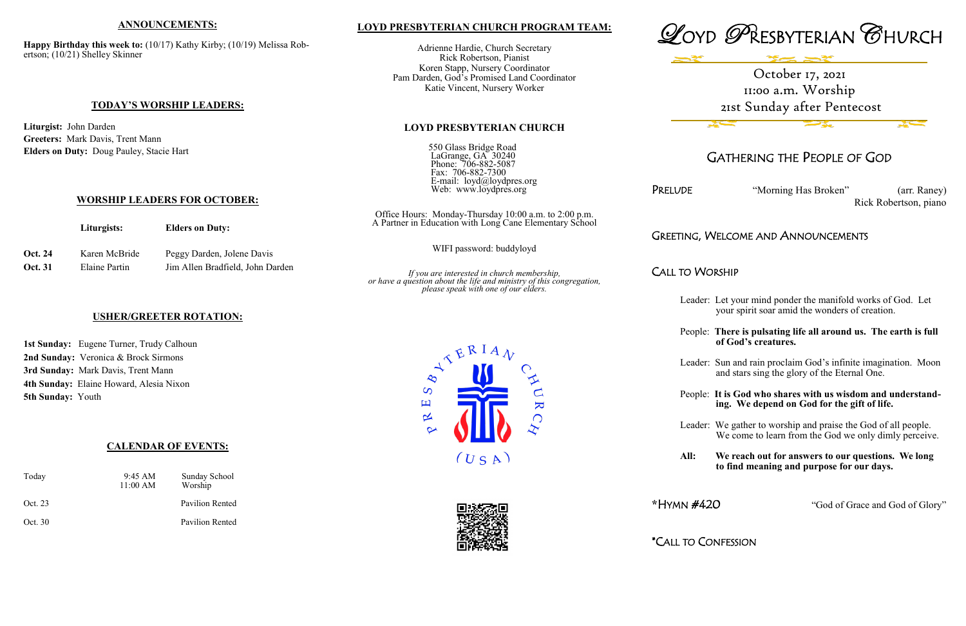## **LOYD PRESBYTERIAN CHURCH PROGRAM TEAM:**

Adrienne Hardie, Church Secretary Rick Robertson, Pianist Koren Stapp, Nursery Coordinator Pam Darden, God's Promised Land Coordinator Katie Vincent, Nursery Worker

LaGrange, GA 30240 Phone: 706-882-5087 Fax: 706-882-7300

**LOYD PRESBYTERIAN CHURCH**

550 Glass Bridge Road

 E-mail: loyd@loydpres.org Web: www.loydpres.org

PRELUDE "Morning Has Broken" (arr. Raney) Rick Robertson, piano

# G, WELCOME AND ANNOUNCEMENTS

### Worship



# GATHERING THE PEOPLE OF GOD

1st Sunday: Eugene Turner, Trudy Calhoun **2nd Sunday:** Veronica & Brock Sirmons **3rd Sunday:** Mark Davis, Trent Mann **4th Sunday:** Elaine Howard, Alesia Nixon **5th Sunday:** Youth

|                    | Liturgists:                    | <b>Elders on Duty:</b>                                         | Office Hours: Monday-Thursday 10:00 a.m. to 2:00 p.m.<br>A Partner in Education with Long Cane Elementary School                                            | GREETING  |  |
|--------------------|--------------------------------|----------------------------------------------------------------|-------------------------------------------------------------------------------------------------------------------------------------------------------------|-----------|--|
| Oct. 24<br>Oct. 31 | Karen McBride<br>Elaine Partin | Peggy Darden, Jolene Davis<br>Jim Allen Bradfield, John Darden | WIFI password: buddyloyd                                                                                                                                    |           |  |
|                    |                                |                                                                | If you are interested in church membership,<br>or have a question about the life and ministry of this congregation,<br>please speak with one of our elders. | CALL TO I |  |

- Leader: Let your mind ponder the manifold works of God. Let your spirit soar amid the wonders of creation.
- People: **There is pulsating life all around us. The earth is full of God's creatures.**
- Leader: Sun and rain proclaim God's infinite imagination. Moon and stars sing the glory of the Eternal One.
- People: **It is God who shares with us wisdom and understand ing. We depend on God for the gift of life.**
- Leader: We gather to worship and praise the God of all people. We come to learn from the God we only dimly perceive.
- **All: We reach out for answers to our questions. We long to find meaning and purpose for our days.**

**\***HYMN #420 "God of Grace and God of Glory"

\*CALL TO CONFESSION

### **ANNOUNCEMENTS:**

**Happy Birthday this week to:** (10/17) Kathy Kirby; (10/19) Melissa Robertson; (10/21) Shelley Skinner

### **TODAY'S WORSHIP LEADERS:**

**Liturgist:** John Darden **Greeters:** Mark Davis, Trent Mann **Elders on Duty:** Doug Pauley, Stacie Hart

### **WORSHIP LEADERS FOR OCTOBER:**

## **USHER/GREETER ROTATION:**

## **CALENDAR OF EVENTS:**

| Today   | $9:45 \text{ AM}$<br>11:00 AM | Sunday School<br>Worship |
|---------|-------------------------------|--------------------------|
| Oct. 23 |                               | <b>Pavilion Rented</b>   |
| Oct. 30 |                               | Pavilion Rented          |





# October 17, 2021 11:00 a.m. Worship 21st Sunday after Pentecost